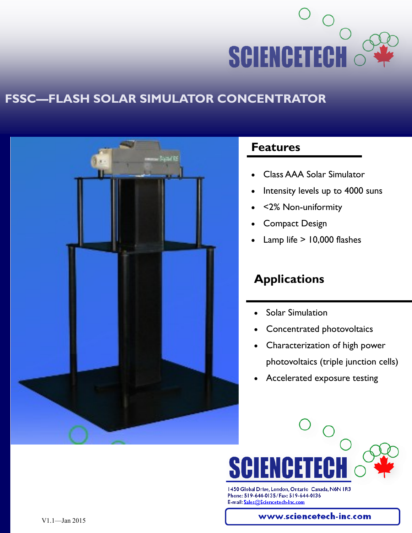

## **FSSC—FLASH SOLAR SIMULATOR CONCENTRATOR**



#### **Features**

- Class AAA Solar Simulator
- Intensity levels up to 4000 suns
- <2% Non-uniformity
- Compact Design
- Lamp life > 10,000 flashes

# **Applications**

- Solar Simulation
- Concentrated photovoltaics
- Characterization of high power photovoltaics (triple junction cells)
- Accelerated exposure testing



1450 Global Drive, London, Ontario Canada, N6N 1R3 Phone: 519-644-0135/Fax: 519-644-0136 E-mail: Sales@Sciencetech-Inc.com

www.sciencetech-inc.com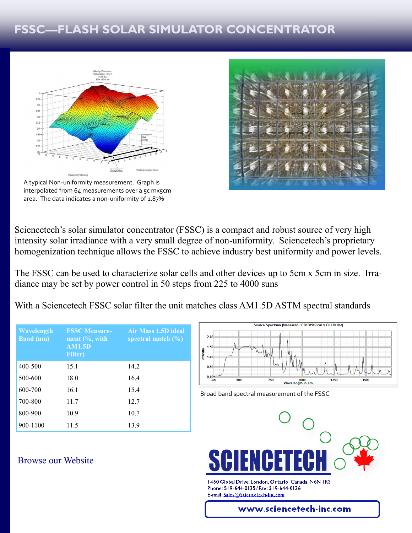# **FSSC—FLASH SOLAR SIMULATOR CONCENTRATOR**



A typical Non-uniformity measurement. Graph is interpolated from 64 measurements over a 5c mx5cm area. The data indicates a non-uniformity of 1.87%



Sciencetech's solar simulator concentrator (FSSC) is a compact and robust source of very high intensity solar irradiance with a very small degree of non-uniformity. Sciencetech's proprietary homogenization technique allows the FSSC to achieve industry best uniformity and power levels.

The FSSC can be used to characterize solar cells and other devices up to 5cm x 5cm in size. Irradiance may be set by power control in 50 steps from 225 to 4000 suns

With a Sciencetech FSSC solar filter the unit matches class AM1.5D ASTM spectral standards

| Wavelength<br><b>Band</b> (nm) | <b>FSSC Measure-</b><br>ment $(\%$ , with<br><b>AM1.5D</b><br><b>Filter</b> ) | Air Mass 1.5D ideal<br>spectral match $(\%)$ |
|--------------------------------|-------------------------------------------------------------------------------|----------------------------------------------|
| 400-500                        | 15.1                                                                          | 14.2                                         |
| 500-600                        | 18.0                                                                          | 16.4                                         |
| 600-700                        | 16.1                                                                          | 15.4                                         |
| 700-800                        | 11.7                                                                          | 12.7                                         |
| 800-900                        | 10.9                                                                          | 10.7                                         |
| 900-1100                       | 11.5                                                                          | 13.9                                         |



Broad band spectral measurement of the FSSC



1450 Global Drive, London, Ontario Canada, N6N 1R3 Phone: 519-644-0135/Fax: 519-644-0136 E-mail: Sales@Sciencetech-Inc.com

#### www.sciencetech-inc.com

[Browse our Website](http://sciencetech-inc.com)